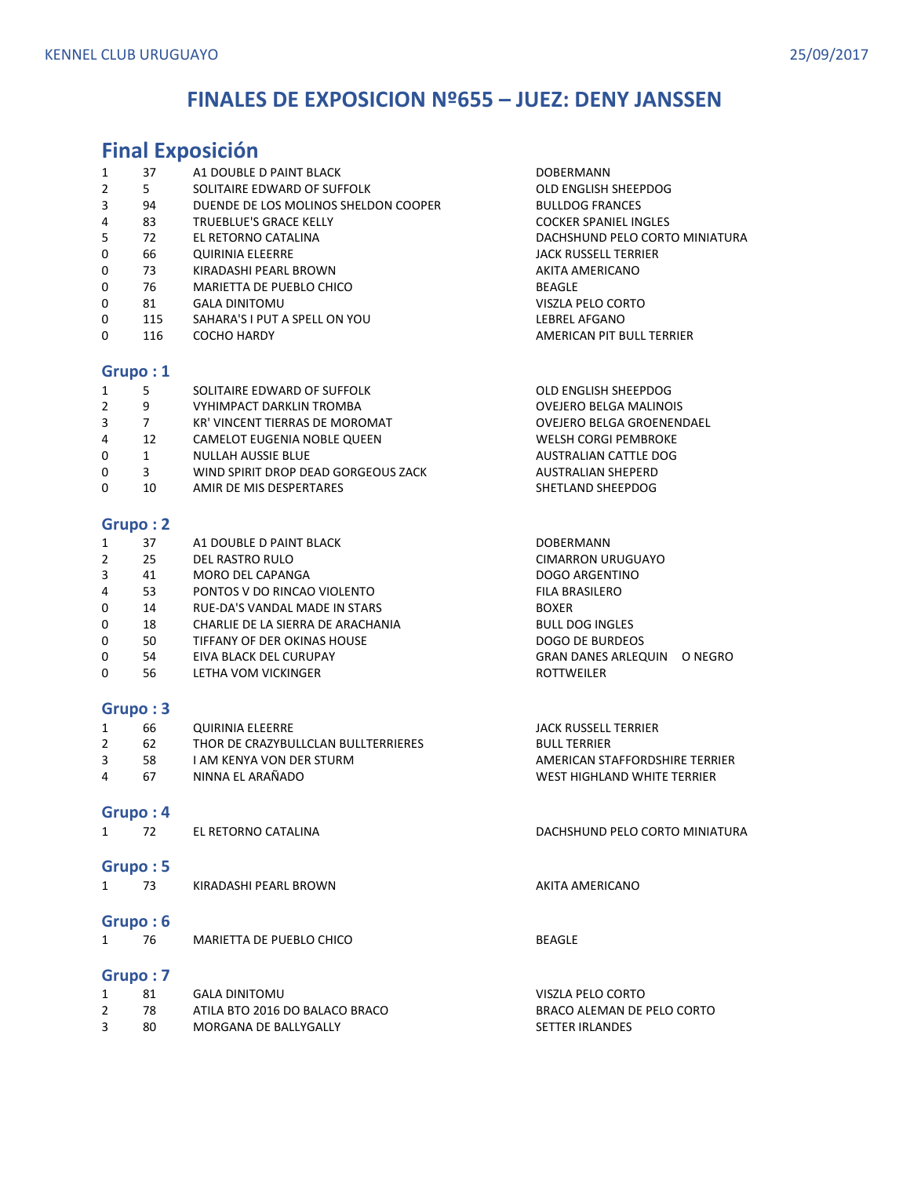### **FINALES DE EXPOSICION Nº655 – JUEZ: DENY JANSSEN**

### **Final Exposición**  1 37 A1 DOUBLE D PAINT BLACK DOBERMANN 2 5 SOLITAIRE EDWARD OF SUFFOLK COMPUTE THE SOLIT OLD ENGLISH SHEEPDOG 3 94 DUENDE DE LOS MOLINOS SHELDON COOPER BULLDOG FRANCES 4 83 TRUEBLUE'S GRACE KELLY COCKER SPANIEL INGLES 5 72 EL RETORNO CATALINA DACHSHUND PELO CORTO MINIATURA 0 66 QUIRINIA ELEERRE **JACK RUSSELL TERRIER** 0 73 KIRADASHI PEARL BROWN AKITA AMERICANO 0 76 MARIETTA DE PUEBLO CHICO **CHICO CHICO BEAGLE** 0 81 GALA DINITOMU VISZLA PELO CORTO 0 115 SAHARA'S I PUT A SPELL ON YOU LEBREL AFGANO 0 116 COCHO HARDY **AMERICAN PIT BULL TERRIER Grupo : 1**  1 5 SOLITAIRE EDWARD OF SUFFOLK OLD ENGLISH SHEEPDOG 2 9 VYHIMPACT DARKLIN TROMBA OVEJERO BELGA MALINOIS 3 7 KR' VINCENT TIERRAS DE MOROMAT **CONTRAGEMENT CONTRAGEMENT OVEJERO BELGA GROENENDAEL** 4 12 CAMELOT EUGENIA NOBLE QUEEN WELSH CORGI PEMBROKE 0 1 NULLAH AUSSIE BLUE **AUSTRALIAN CATTLE DOG** 0 3 WIND SPIRIT DROP DEAD GORGEOUS ZACK AUSTRALIAN SHEPERD 0 10 AMIR DE MIS DESPERTARES SHETLAND SHEEPDOG **Grupo : 2**  1 37 A1 DOUBLE D PAINT BLACK AND DOBERMANN 2 25 DEL RASTRO RULO CIMARRON URUGUAYO 3 41 MORO DEL CAPANGA DOGO ARGENTINO 4 53 PONTOS V DO RINCAO VIOLENTO FILA BRASILERO 0 14 RUE-DA'S VANDAL MADE IN STARS BOXER 0 18 CHARLIE DE LA SIERRA DE ARACHANIA BULL DOG INGLES 0 50 TIFFANY OF DER OKINAS HOUSE DE SOLO DE BURDEOS 0 54 EIVA BLACK DEL CURUPAY GRAN DANES ARLEQUIN O NEGRO 0 56 LETHA VOM VICKINGER ROTTWEILER ROTTWEILER **Grupo : 3**  1 66 QUIRINIA ELEERRE JACK RUSSELL TERRIER 2 62 THOR DE CRAZYBULLCLAN BULLTERRIERES BULL TERRIER 3 58 I AM KENYA VON DER STURM AMERICAN STAFFORDSHIRE TERRIER 4 67 NINNA EL ARAÑADO WEST HIGHLAND WHITE TERRIER **Grupo : 4**  1 72 EL RETORNO CATALINA DACHSHUND PELO CORTO MINIATURA **Grupo : 5**  1 73 KIRADASHI PEARL BROWN AKITA AMERICANO **Grupo : 6**  1 76 MARIETTA DE PUEBLO CHICO NELLE ESTE DE BEAGLE

|    | GALA DINITOMU                  | VISZLA PELO CORTO          |
|----|--------------------------------|----------------------------|
| 78 | ATILA BTO 2016 DO BALACO BRACO | BRACO ALEMAN DE PELO CORTO |
| 80 | MORGANA DE BALLYGALLY          | <b>SETTER IRLANDES</b>     |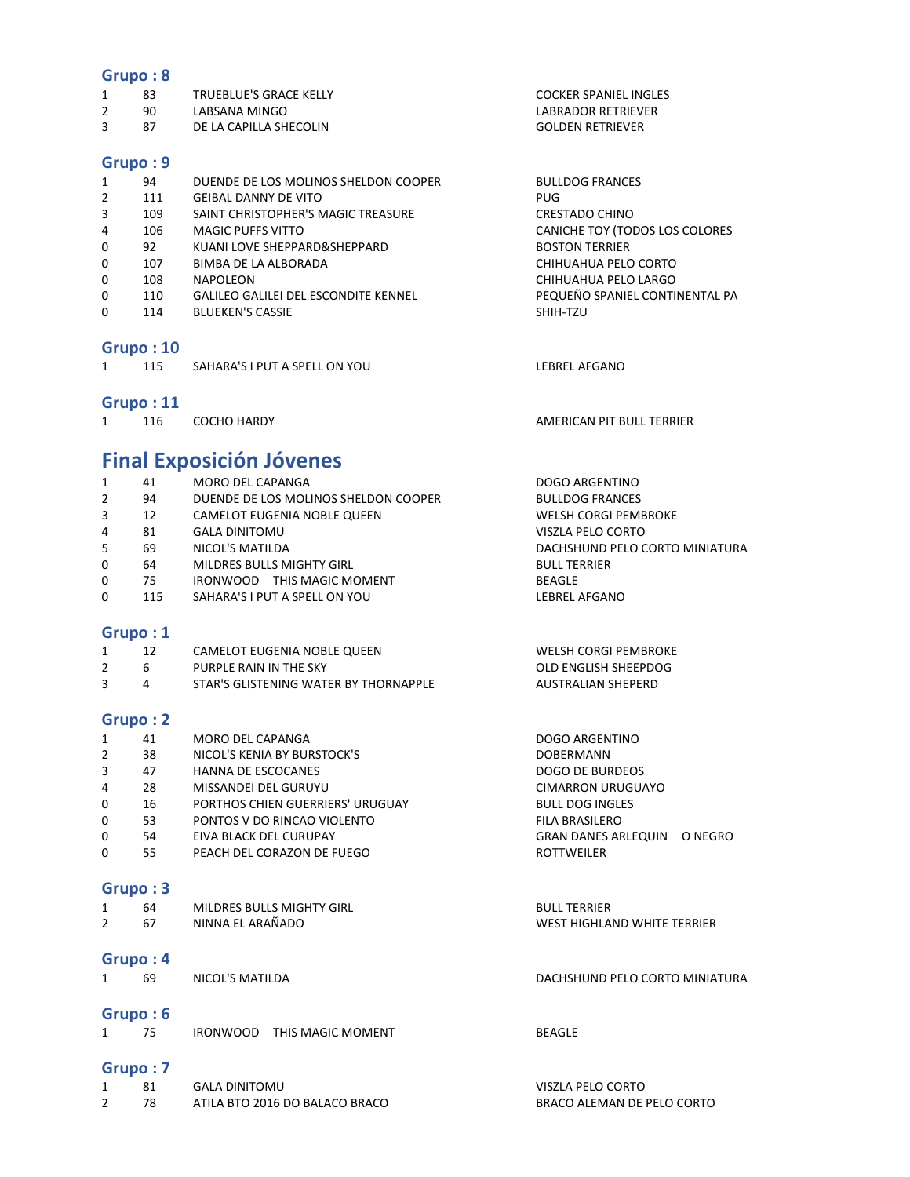- 1 83 TRUEBLUE'S GRACE KELLY COCKER SPANIEL INGLES
- 2 90 LABSANA MINGO<br>3 87 DE LA CAPILLA SHECOLIN COLOUNAGE COLOUN RETRIEVER
- 3 87 DE LA CAPILLA SHECOLIN GOLDEN RETRIEVER

#### **Grupo : 9**

| 1        | 94  | DUENDE DE LOS MOLINOS SHELDON COOPER        | <b>BULLDOG FRANCES</b>         |
|----------|-----|---------------------------------------------|--------------------------------|
| 2        | 111 | <b>GEIBAL DANNY DE VITO</b>                 | PUG                            |
| 3        | 109 | SAINT CHRISTOPHER'S MAGIC TREASURE          | <b>CRESTADO CHINO</b>          |
| 4        | 106 | <b>MAGIC PUFFS VITTO</b>                    | CANICHE TOY (TODOS LOS COLORES |
| 0        | 92  | KUANI LOVE SHEPPARD&SHEPPARD                | <b>BOSTON TERRIER</b>          |
| 0        | 107 | BIMBA DE LA ALBORADA                        | CHIHUAHUA PELO CORTO           |
| $\Omega$ | 108 | NAPOLEON                                    | CHIHUAHUA PELO LARGO           |
| 0        | 110 | <b>GALILEO GALILEI DEL ESCONDITE KENNEL</b> | PEQUEÑO SPANIEL CONTINENTAL PA |
| 0        | 114 | <b>BLUEKEN'S CASSIE</b>                     | SHIH-TZU                       |
|          |     |                                             |                                |
|          |     |                                             |                                |

### **Grupo : 10**

| SAHARA'S I PUT A SPELL ON YOU<br>LEBREL AFGANO |
|------------------------------------------------|
|------------------------------------------------|

### **Grupo : 11**

|  | COCHO HARDY | AMERICAN PIT BULL TERRIER |
|--|-------------|---------------------------|

# **Final Exposición Jóvenes**

| DACHSHUND PELO CORTO MINIATURA |
|--------------------------------|
|                                |
|                                |
|                                |
|                                |
|                                |

|   | <b>WELSH CORGI PEMBROKE</b>                                                                    |
|---|------------------------------------------------------------------------------------------------|
|   | OLD ENGLISH SHEEPDOG                                                                           |
| 4 | AUSTRALIAN SHEPERD                                                                             |
|   | CAMELOT EUGENIA NOBLE QUEEN<br>PURPLE RAIN IN THE SKY<br>STAR'S GLISTENING WATER BY THORNAPPLE |

### **Grupo : 2**

| 1 | 41 | MORO DEL CAPANGA                 | DOGO ARGENTINO             |         |
|---|----|----------------------------------|----------------------------|---------|
| 2 | 38 | NICOL'S KENIA BY BURSTOCK'S      | <b>DOBERMANN</b>           |         |
| 3 | 47 | <b>HANNA DE ESCOCANES</b>        | DOGO DE BURDEOS            |         |
| 4 | 28 | MISSANDEI DEL GURUYU             | <b>CIMARRON URUGUAYO</b>   |         |
| 0 | 16 | PORTHOS CHIEN GUERRIERS' URUGUAY | <b>BULL DOG INGLES</b>     |         |
| 0 | 53 | PONTOS V DO RINCAO VIOLENTO      | <b>FILA BRASILERO</b>      |         |
| 0 | 54 | EIVA BLACK DEL CURUPAY           | <b>GRAN DANES ARLEQUIN</b> | O NEGRO |
| 0 | 55 | PEACH DEL CORAZON DE FUEGO       | <b>ROTTWEILER</b>          |         |
|   |    |                                  |                            |         |

### **Grupo : 3**

| 64 | MILDRES BULLS MIGHTY GIRL | <b>BULL TERRIER</b>         |
|----|---------------------------|-----------------------------|
|    | NINNA EL ARAÑADO          | WEST HIGHLAND WHITE TERRIER |

### **Grupo : 4**

1 69 NICOL'S MATILDA DACHSHUND PELO CORTO MINIATURA

### **Grupo : 6**

1 75 IRONWOOD THIS MAGIC MOMENT BEAGLE

|  | GALA DINITOMU                  | VISZLA PELO CORTO          |
|--|--------------------------------|----------------------------|
|  | ATILA BTO 2016 DO BALACO BRACO | BRACO ALEMAN DE PELO CORTO |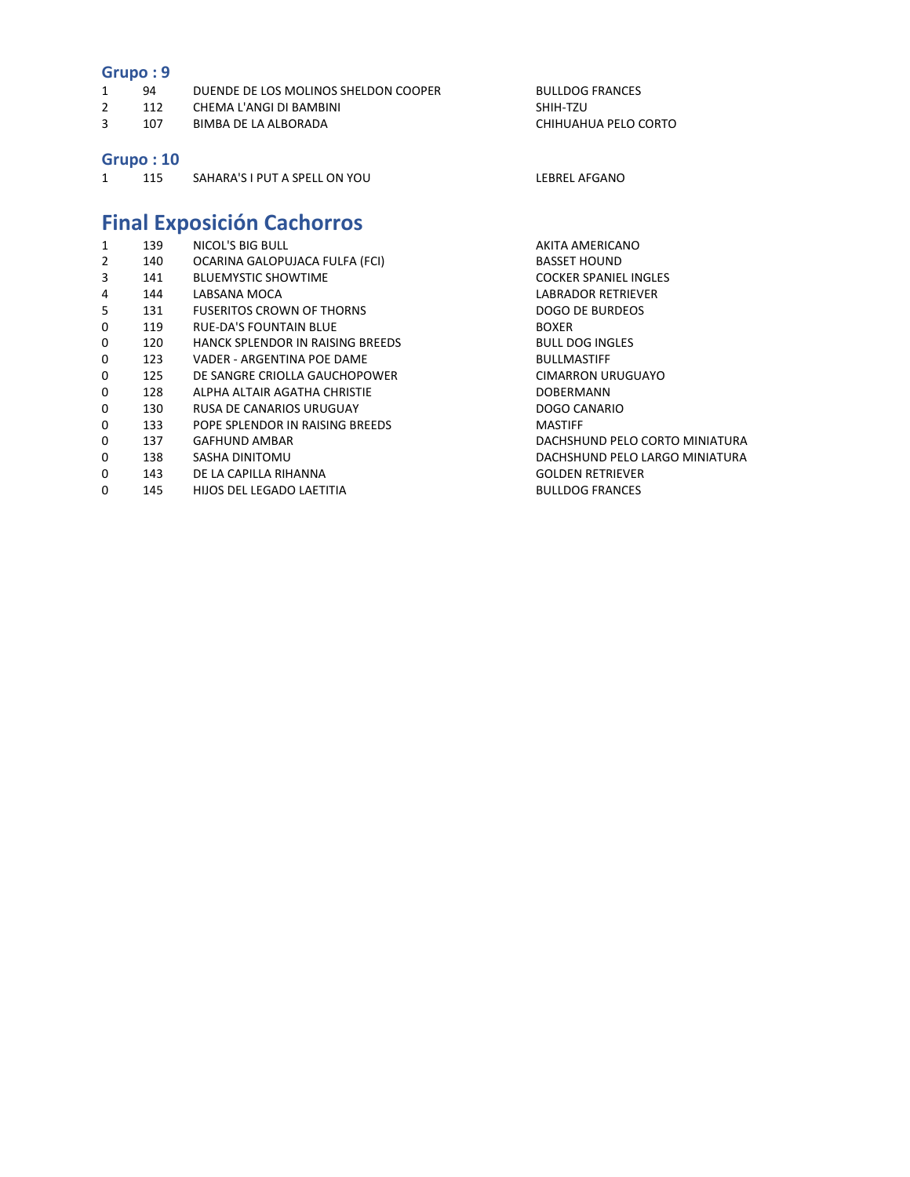|                | urupu . J |                                      |                              |
|----------------|-----------|--------------------------------------|------------------------------|
| $\mathbf{1}$   | 94        | DUENDE DE LOS MOLINOS SHELDON COOPER | <b>BULLDOG FRANCES</b>       |
| $\overline{2}$ | 112       | CHEMA L'ANGI DI BAMBINI              | SHIH-TZU                     |
| 3              | 107       | <b>BIMBA DE LA ALBORADA</b>          | CHIHUAHUA PELO CORTO         |
|                |           |                                      |                              |
|                | Grupo: 10 |                                      |                              |
| 1              | 115       | SAHARA'S I PUT A SPELL ON YOU        | <b>LEBREL AFGANO</b>         |
|                |           |                                      |                              |
|                |           |                                      |                              |
|                |           | <b>Final Exposición Cachorros</b>    |                              |
| 1              | 139       | NICOL'S BIG BULL                     | AKITA AMERICANO              |
| $\overline{2}$ | 140       | OCARINA GALOPUJACA FULFA (FCI)       | <b>BASSET HOUND</b>          |
| 3              | 141       | <b>BLUEMYSTIC SHOWTIME</b>           | <b>COCKER SPANIEL INGLES</b> |
| 4              | 144       | LABSANA MOCA                         | <b>LABRADOR RETRIEVER</b>    |
| 5              | 131       | <b>FUSERITOS CROWN OF THORNS</b>     | <b>DOGO DE BURDEOS</b>       |
| 0              | 119       | <b>RUE-DA'S FOUNTAIN BLUE</b>        | <b>BOXER</b>                 |
| 0              | 120       | HANCK SPLENDOR IN RAISING BREEDS     | <b>BULL DOG INGLES</b>       |
| 0              | 123       | VADER - ARGENTINA POE DAME           | <b>BULLMASTIFF</b>           |
| 0              | 125       | DE SANGRE CRIOLLA GAUCHOPOWER        | <b>CIMARRON URUGUAYO</b>     |
| 0              | 128       | ALPHA ALTAIR AGATHA CHRISTIE         | <b>DOBERMANN</b>             |
| 0              | 130       | RUSA DE CANARIOS URUGUAY             | DOGO CANARIO                 |

- 0 133 POPE SPLENDOR IN RAISING BREEDS MASTIFF MASTIFF 137 GAFHUND AMBAR
- 
- 
- 0 143 DE LA CAPILLA RIHANNA COLOUNTE DE LA CAPILLA RIHANNA
- 0 145 HIJOS DEL LEGADO LAETITIA BULLDOG FRANCES

DACHSHUND PELO CORTO MINIATURA 0 138 SASHA DINITOMU DACHSHUND PELO LARGO MINIATURA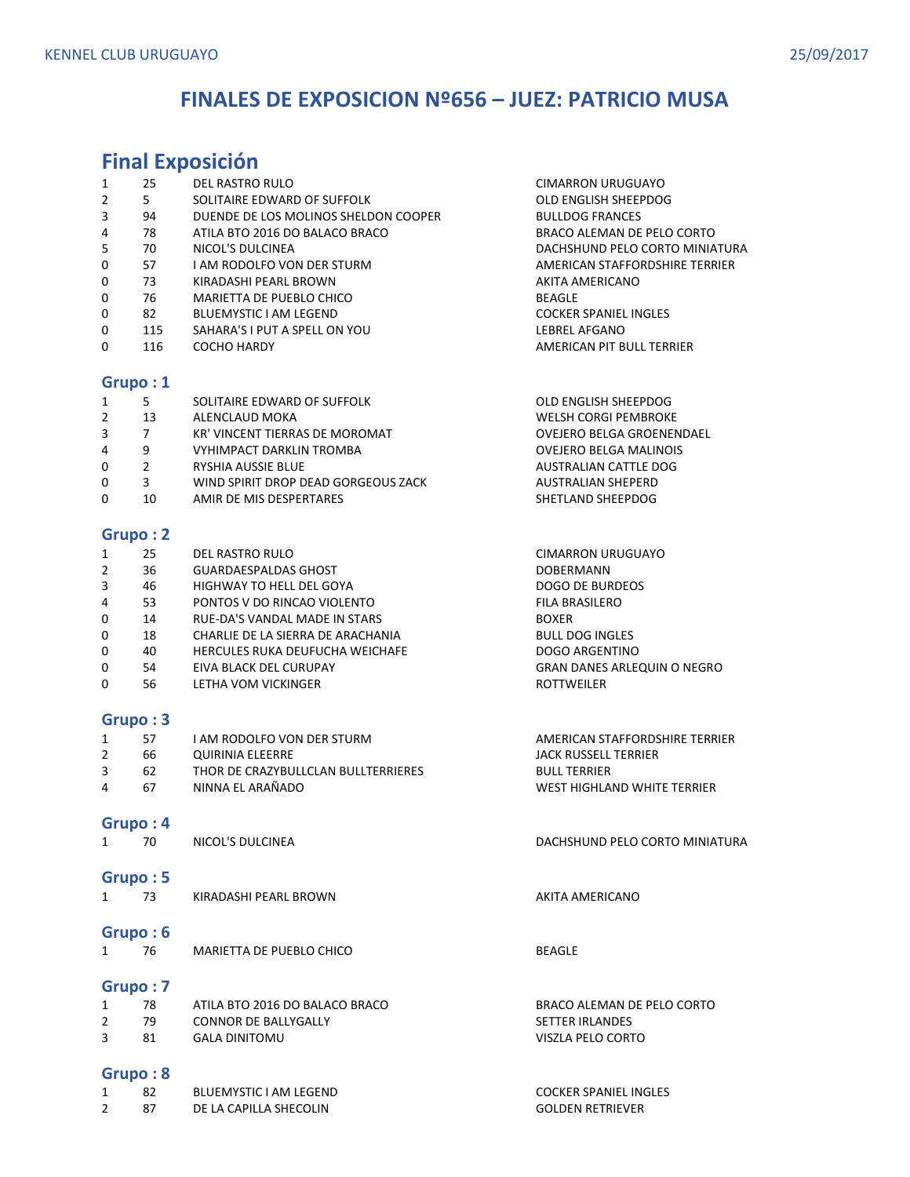## **FINALES DE EXPOSICION Nº656 – JUEZ: PATRICIO MUSA**

# **Final Exposición**

| 1              | 25             | DEL RASTRO RULO                      | CIMARRON URUGUAYO              |
|----------------|----------------|--------------------------------------|--------------------------------|
| $\overline{2}$ | 5              | SOLITAIRE EDWARD OF SUFFOLK          | OLD ENGLISH SHEEPDOG           |
| 3              | 94             | DUENDE DE LOS MOLINOS SHELDON COOPER | <b>BULLDOG FRANCES</b>         |
| 4              | 78             | ATILA BTO 2016 DO BALACO BRACO       | BRACO ALEMAN DE PELO CORTO     |
| 5              | 70             | NICOL'S DULCINEA                     | DACHSHUND PELO CORTO MINIATURA |
| 0              | 57             | <b>LAM RODOLFO VON DER STURM</b>     | AMERICAN STAFFORDSHIRE TERRIER |
| 0              | 73             | KIRADASHI PEARL BROWN                | AKITA AMERICANO                |
| 0              | 76             | MARIETTA DE PUEBLO CHICO             | <b>BEAGLE</b>                  |
| 0              | 82             | <b>BLUEMYSTIC I AM LEGEND</b>        | <b>COCKER SPANIEL INGLES</b>   |
| 0              | 115            | SAHARA'S I PUT A SPELL ON YOU        | LEBREL AFGANO                  |
| 0              | 116            | <b>COCHO HARDY</b>                   | AMERICAN PIT BULL TERRIER      |
|                |                |                                      |                                |
|                | Grupo: 1       |                                      |                                |
| $\mathbf{1}$   | 5              | SOLITAIRE EDWARD OF SUFFOLK          | OLD ENGLISH SHEEPDOG           |
| $\overline{2}$ | 13             | ALENCLAUD MOKA                       | WELSH CORGI PEMBROKE           |
| 3              | 7              | KR' VINCENT TIERRAS DE MOROMAT       | OVEJERO BELGA GROENENDAEL      |
| 4              | 9              | <b>VYHIMPACT DARKLIN TROMBA</b>      | <b>OVEJERO BELGA MALINOIS</b>  |
| 0              | $\overline{2}$ | <b>RYSHIA AUSSIE BLUE</b>            | AUSTRALIAN CATTLE DOG          |
| 0              | 3              | WIND SPIRIT DROP DEAD GORGEOUS ZACK  | <b>AUSTRALIAN SHEPERD</b>      |
| 0              | 10             | AMIR DE MIS DESPERTARES              | SHETLAND SHEEPDOG              |
|                |                |                                      |                                |

### **Grupo : 2**

| 1              | 25 | DEL RASTRO RULO                   | <b>CIMARRON URUGUAYO</b>           |
|----------------|----|-----------------------------------|------------------------------------|
| $\overline{2}$ | 36 | <b>GUARDAESPALDAS GHOST</b>       | <b>DOBERMANN</b>                   |
| 3              | 46 | HIGHWAY TO HELL DEL GOYA          | <b>DOGO DE BURDEOS</b>             |
| 4              | 53 | PONTOS V DO RINCAO VIOLENTO       | <b>FILA BRASILERO</b>              |
| 0              | 14 | RUE-DA'S VANDAL MADE IN STARS     | <b>BOXER</b>                       |
| 0              | 18 | CHARLIE DE LA SIERRA DE ARACHANIA | <b>BULL DOG INGLES</b>             |
| 0              | 40 | HERCULES RUKA DEUFUCHA WEICHAFE   | <b>DOGO ARGENTINO</b>              |
| 0              | 54 | EIVA BLACK DEL CURUPAY            | <b>GRAN DANES ARLEQUIN O NEGRO</b> |
| 0              | 56 | LETHA VOM VICKINGER               | <b>ROTTWEILER</b>                  |
|                |    |                                   |                                    |

### **Grupo : 3**

|   | 57  | I AM RODOLFO VON DER STURM.         | AMERICAN STAFFORDSHIRE TERRIER |
|---|-----|-------------------------------------|--------------------------------|
|   | 66  | QUIRINIA ELEERRE                    | JACK RUSSELL TERRIER           |
|   | -62 | THOR DE CRAZYBULLCLAN BULLTERRIERES | <b>BULL TERRIER</b>            |
| 4 | 67  | NINNA EL ARAÑADO                    | WEST HIGHLAND WHITE TERRIER    |

### **Grupo : 4**

| 70 | NICOL'S DULCINEA | DACHSHUND PELO CORTO MINIATURA |
|----|------------------|--------------------------------|
|    |                  |                                |

### **Grupo : 5**

| -- | KIRADASHI PEARL BROWN | AKITA AMERICANO |
|----|-----------------------|-----------------|
|    |                       |                 |

### **Grupo : 6**

|  | MARIETTA DE PUEBLO CHICO | <b>BEAGLE</b> |
|--|--------------------------|---------------|
|  |                          |               |

### **Grupo : 7**

|    | ATILA BTO 2016 DO BALACO BRACO | BRACO ALEMAN DE PELO CORTO |
|----|--------------------------------|----------------------------|
| 79 | CONNOR DE BALLYGALLY           | <b>SETTER IRLANDES</b>     |
|    | <b>GALA DINITOMU</b>           | VISZLA PELO CORTO          |

|  | BLUEMYSTIC I AM LEGEND | <b>COCKER SPANIEL INGLES</b> |
|--|------------------------|------------------------------|
|  | DE LA CAPILLA SHECOLIN | <b>GOLDEN RETRIEVER</b>      |

| <b>COCKER SPANIEL INGLES</b> |
|------------------------------|
| <b>GOLDEN RETRIEVER</b>      |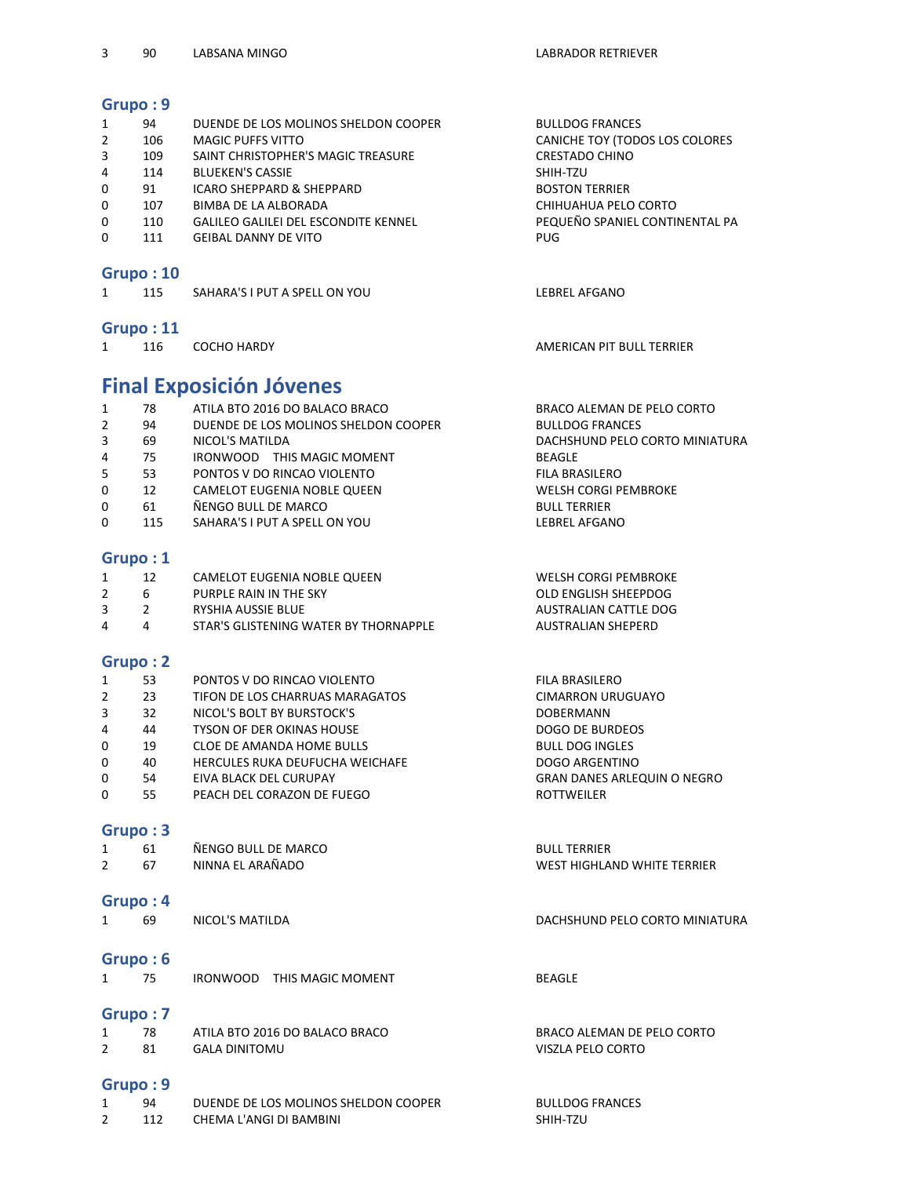| Grupo: 9       |               |                                             |                                |
|----------------|---------------|---------------------------------------------|--------------------------------|
| $\mathbf{1}$   | 94            | DUENDE DE LOS MOLINOS SHELDON COOPER        | <b>BULLDOG FRANCES</b>         |
| 2              | 106           | <b>MAGIC PUFFS VITTO</b>                    | CANICHE TOY (TODOS LOS COLORES |
| 3              | 109           | SAINT CHRISTOPHER'S MAGIC TREASURE          | <b>CRESTADO CHINO</b>          |
| 4              | 114           | <b>BLUEKEN'S CASSIE</b>                     | SHIH-TZU                       |
| 0              | 91            | <b>ICARO SHEPPARD &amp; SHEPPARD</b>        | <b>BOSTON TERRIER</b>          |
| 0              | 107           | <b>BIMBA DE LA ALBORADA</b>                 | CHIHUAHUA PELO CORTO           |
| 0              | 110           | <b>GALILEO GALILEI DEL ESCONDITE KENNEL</b> | PEQUEÑO SPANIEL CONTINENTAL PA |
| $\Omega$       | 111           | <b>GEIBAL DANNY DE VITO</b>                 | PUG                            |
|                | Grupo: 10     |                                             |                                |
| $\mathbf{1}$   | 115           | SAHARA'S I PUT A SPELL ON YOU               | <b>LEBREL AFGANO</b>           |
|                | Grupo: 11     |                                             |                                |
| $\mathbf{1}$   | 116           | <b>COCHO HARDY</b>                          | AMERICAN PIT BULL TERRIER      |
|                |               |                                             |                                |
|                |               |                                             |                                |
|                |               | <b>Final Exposición Jóvenes</b>             |                                |
| $\mathbf{1}$   | 78            | ATILA BTO 2016 DO BALACO BRACO              | BRACO ALEMAN DE PELO CORTO     |
| $\overline{2}$ | 94            | DUENDE DE LOS MOLINOS SHELDON COOPER        | <b>BULLDOG FRANCES</b>         |
| 3              | 69            | NICOL'S MATILDA                             | DACHSHUND PELO CORTO MINIATURA |
| 4              | 75            | IRONWOOD THIS MAGIC MOMENT                  | <b>BEAGLE</b>                  |
| 5              | 53            | PONTOS V DO RINCAO VIOLENTO                 | <b>FILA BRASILERO</b>          |
| 0              | 12            | <b>CAMELOT EUGENIA NOBLE QUEEN</b>          | <b>WELSH CORGI PEMBROKE</b>    |
| 0              | 61            | ÑENGO BULL DE MARCO                         | <b>BULL TERRIER</b>            |
| $\Omega$       | 115           | SAHARA'S I PUT A SPELL ON YOU               | <b>LEBREL AFGANO</b>           |
| Grupo: 1       |               |                                             |                                |
| 1              | 12            | CAMELOT EUGENIA NOBLE QUEEN                 | <b>WELSH CORGI PEMBROKE</b>    |
| $\overline{2}$ | 6             | PURPLE RAIN IN THE SKY                      | OLD ENGLISH SHEEPDOG           |
| 3              | $\mathcal{P}$ | <b>RYSHIA AUSSIE BLUE</b>                   | <b>AUSTRALIAN CATTLE DOG</b>   |
| 4              | 4             | STAR'S GLISTENING WATER BY THORNAPPLE       | <b>AUSTRALIAN SHEPERD</b>      |

| 1           | 53 | PONTOS V DO RINCAO VIOLENTO            | <b>FILA BRASILERO</b>              |
|-------------|----|----------------------------------------|------------------------------------|
| 2           | 23 | TIFON DE LOS CHARRUAS MARAGATOS        | <b>CIMARRON URUGUAYO</b>           |
| 3           | 32 | NICOL'S BOLT BY BURSTOCK'S             | <b>DOBERMANN</b>                   |
| 4           | 44 | <b>TYSON OF DER OKINAS HOUSE</b>       | DOGO DE BURDEOS                    |
| $\mathbf 0$ | 19 | CLOE DE AMANDA HOME BULLS              | <b>BULL DOG INGLES</b>             |
| 0           | 40 | <b>HERCULES RUKA DEUFUCHA WEICHAFE</b> | DOGO ARGENTINO                     |
| 0           | 54 | EIVA BLACK DEL CURUPAY                 | <b>GRAN DANES ARLEQUIN O NEGRO</b> |
| 0           | 55 | PEACH DEL CORAZON DE FUEGO             | <b>ROTTWEILER</b>                  |
|             |    |                                        |                                    |

| 1              | 61       | ÑENGO BULL DE MARCO                  | <b>BULL TERRIER</b>            |
|----------------|----------|--------------------------------------|--------------------------------|
| $\overline{2}$ | 67       | NINNA EL ARAÑADO                     | WEST HIGHLAND WHITE TERRIER    |
|                | Grupo: 4 |                                      |                                |
| $\mathbf{1}$   | 69       | NICOL'S MATILDA                      | DACHSHUND PELO CORTO MINIATURA |
|                | Grupo:6  |                                      |                                |
| $\mathbf{1}$   | 75       | IRONWOOD<br>THIS MAGIC MOMENT        | <b>BEAGLE</b>                  |
|                | Grupo: 7 |                                      |                                |
| 1              | 78       | ATILA BTO 2016 DO BALACO BRACO       | BRACO ALEMAN DE PELO CORTO     |
| $\mathcal{P}$  | 81       | <b>GALA DINITOMU</b>                 | VISZLA PELO CORTO              |
|                | Grupo: 9 |                                      |                                |
| $\mathbf{1}$   | 94       | DUENDE DE LOS MOLINOS SHELDON COOPER | <b>BULLDOG FRANCES</b>         |
| $\overline{2}$ | 112      | CHEMA L'ANGI DI BAMBINI              | SHIH-TZU                       |